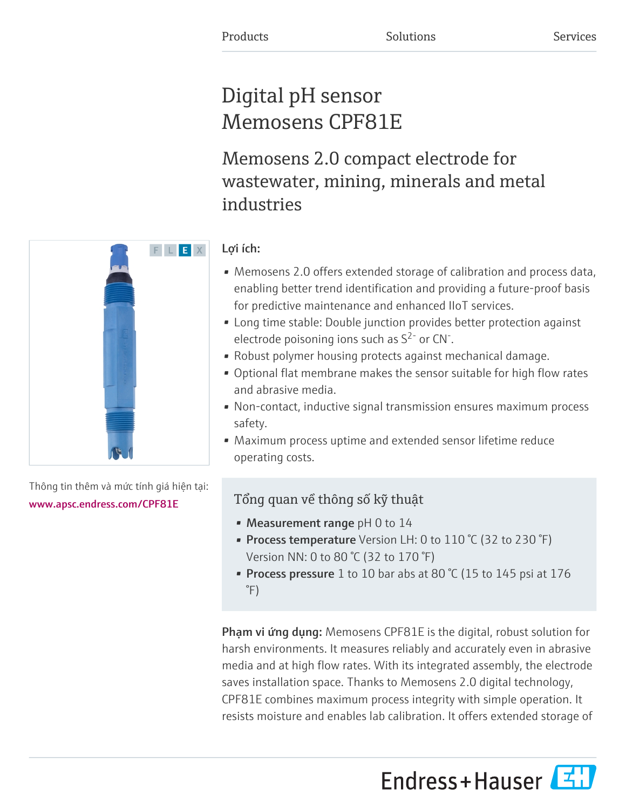# Digital pH sensor Memosens CPF81E

Memosens 2.0 compact electrode for wastewater, mining, minerals and metal industries



Thông tin thêm và mức tính giá hiện tại:

[www.apsc.endress.com/CPF81E](https://www.apsc.endress.com/CPF81E)

# Lợi ích:

- Memosens 2.0 offers extended storage of calibration and process data, enabling better trend identification and providing a future-proof basis for predictive maintenance and enhanced IIoT services.
- Long time stable: Double junction provides better protection against electrode poisoning ions such as  $S^{2}$  or CN<sup>-</sup>.
- Robust polymer housing protects against mechanical damage.
- Optional flat membrane makes the sensor suitable for high flow rates and abrasive media.
- Non-contact, inductive signal transmission ensures maximum process safety.
- Maximum process uptime and extended sensor lifetime reduce operating costs.

# Tổng quan về thông số kỹ thuật

- Measurement range  $pH$  0 to 14
- Process temperature Version LH: 0 to 110 °C (32 to 230 °F) Version NN: 0 to 80 °C (32 to 170 °F)
- Process pressure 1 to 10 bar abs at 80 °C (15 to 145 psi at 176 °F)

Phạm vi ứng dụng: Memosens CPF81E is the digital, robust solution for harsh environments. It measures reliably and accurately even in abrasive media and at high flow rates. With its integrated assembly, the electrode saves installation space. Thanks to Memosens 2.0 digital technology, CPF81E combines maximum process integrity with simple operation. It resists moisture and enables lab calibration. It offers extended storage of

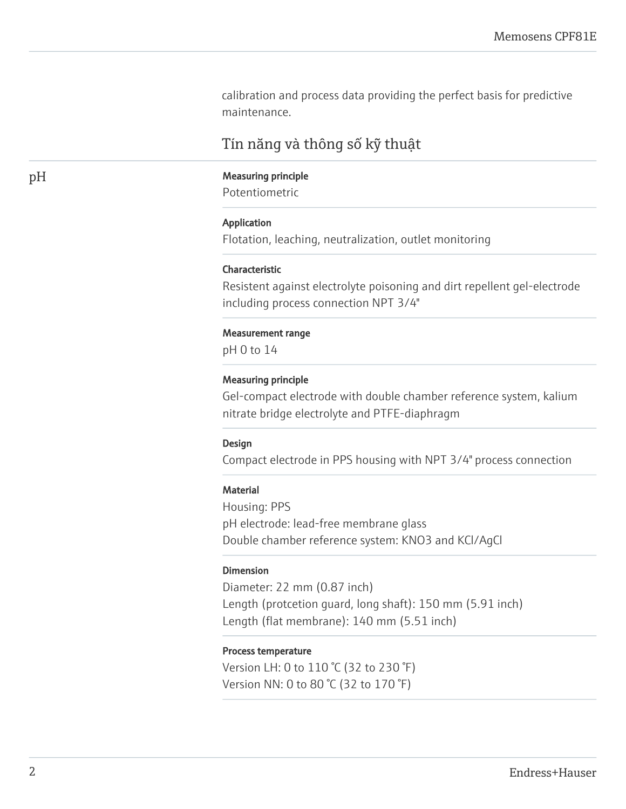calibration and process data providing the perfect basis for predictive maintenance.

# Tín năng và thông số kỹ thuật

# pH Measuring principle

Potentiometric

#### Application

Flotation, leaching, neutralization, outlet monitoring

# Characteristic

Resistent against electrolyte poisoning and dirt repellent gel-electrode including process connection NPT 3/4"

#### Measurement range

pH 0 to 14

#### Measuring principle

Gel-compact electrode with double chamber reference system, kalium nitrate bridge electrolyte and PTFE-diaphragm

#### Design

Compact electrode in PPS housing with NPT 3/4" process connection

#### **Material**

Housing: PPS pH electrode: lead-free membrane glass Double chamber reference system: KNO3 and KCl/AgCl

# Dimension

Diameter: 22 mm (0.87 inch) Length (protcetion guard, long shaft): 150 mm (5.91 inch) Length (flat membrane): 140 mm (5.51 inch)

# Process temperature

Version LH: 0 to 110 °C (32 to 230 °F) Version NN: 0 to 80 °C (32 to 170 °F)